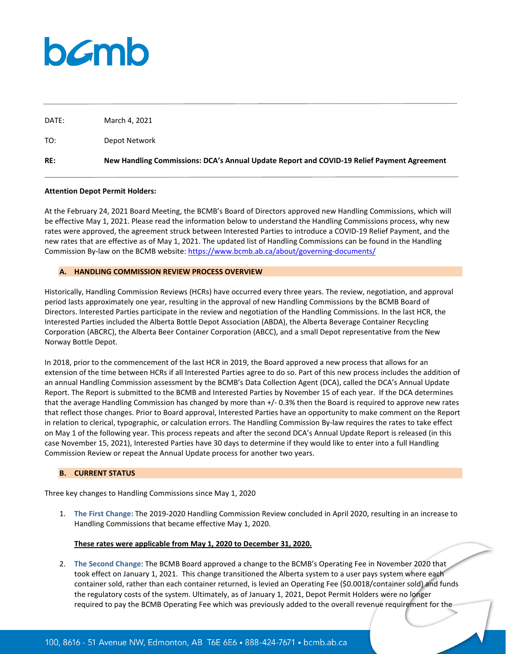# bamb

DATE: March 4, 2021

| TO: | Depot Network                                                                              |
|-----|--------------------------------------------------------------------------------------------|
| RE: | New Handling Commissions: DCA's Annual Update Report and COVID-19 Relief Payment Agreement |

## **Attention Depot Permit Holders:**

At the February 24, 2021 Board Meeting, the BCMB's Board of Directors approved new Handling Commissions, which will be effective May 1, 2021. Please read the information below to understand the Handling Commissions process, why new rates were approved, the agreement struck between Interested Parties to introduce a COVID-19 Relief Payment, and the new rates that are effective as of May 1, 2021. The updated list of Handling Commissions can be found in the Handling Commission By-law on the BCMB website:<https://www.bcmb.ab.ca/about/governing-documents/>

## **A. HANDLING COMMISSION REVIEW PROCESS OVERVIEW**

Historically, Handling Commission Reviews (HCRs) have occurred every three years. The review, negotiation, and approval period lasts approximately one year, resulting in the approval of new Handling Commissions by the BCMB Board of Directors. Interested Parties participate in the review and negotiation of the Handling Commissions. In the last HCR, the Interested Parties included the Alberta Bottle Depot Association (ABDA), the Alberta Beverage Container Recycling Corporation (ABCRC), the Alberta Beer Container Corporation (ABCC), and a small Depot representative from the New Norway Bottle Depot.

In 2018, prior to the commencement of the last HCR in 2019, the Board approved a new process that allows for an extension of the time between HCRs if all Interested Parties agree to do so. Part of this new process includes the addition of an annual Handling Commission assessment by the BCMB's Data Collection Agent (DCA), called the DCA's Annual Update Report. The Report is submitted to the BCMB and Interested Parties by November 15 of each year. If the DCA determines that the average Handling Commission has changed by more than +/- 0.3% then the Board is required to approve new rates that reflect those changes. Prior to Board approval, Interested Parties have an opportunity to make comment on the Report in relation to clerical, typographic, or calculation errors. The Handling Commission By-law requires the rates to take effect on May 1 of the following year. This process repeats and after the second DCA's Annual Update Report is released (in this case November 15, 2021), Interested Parties have 30 days to determine if they would like to enter into a full Handling Commission Review or repeat the Annual Update process for another two years.

# **B. CURRENT STATUS**

Three key changes to Handling Commissions since May 1, 2020

1. **The First Change**: The 2019-2020 Handling Commission Review concluded in April 2020, resulting in an increase to Handling Commissions that became effective May 1, 2020.

# **These rates were applicable from May 1, 2020 to December 31, 2020.**

2. **The Second Change**: The BCMB Board approved a change to the BCMB's Operating Fee in November 2020 that took effect on January 1, 2021. This change transitioned the Alberta system to a user pays system where each container sold, rather than each container returned, is levied an Operating Fee (\$0.0018/container sold) and funds the regulatory costs of the system. Ultimately, as of January 1, 2021, Depot Permit Holders were no longer required to pay the BCMB Operating Fee which was previously added to the overall revenue requirement for the